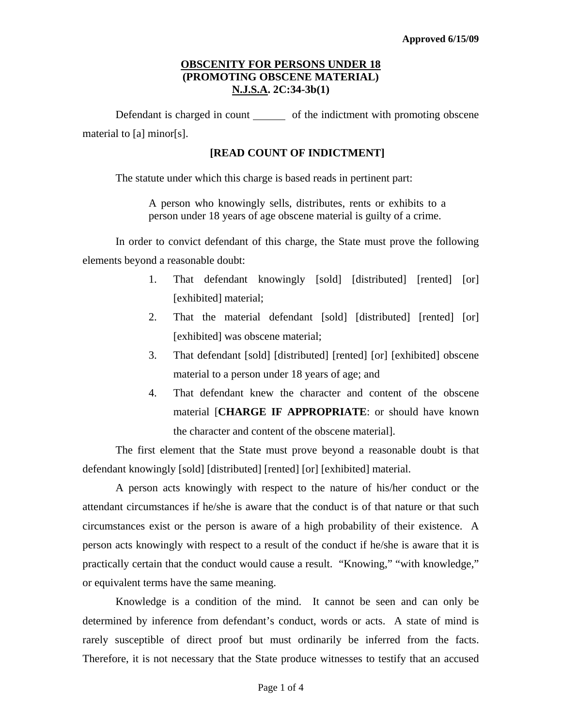# **OBSCENITY FOR PERSONS UNDER 18 (PROMOTING OBSCENE MATERIAL) N.J.S.A. 2C:34-3b(1)**

Defendant is charged in count of the indictment with promoting obscene material to [a] minor[s].

## **[READ COUNT OF INDICTMENT]**

The statute under which this charge is based reads in pertinent part:

A person who knowingly sells, distributes, rents or exhibits to a person under 18 years of age obscene material is guilty of a crime.

In order to convict defendant of this charge, the State must prove the following elements beyond a reasonable doubt:

- 1. That defendant knowingly [sold] [distributed] [rented] [or] [exhibited] material;
- 2. That the material defendant [sold] [distributed] [rented] [or] [exhibited] was obscene material;
- 3. That defendant [sold] [distributed] [rented] [or] [exhibited] obscene material to a person under 18 years of age; and
- 4. That defendant knew the character and content of the obscene material [**CHARGE IF APPROPRIATE**: or should have known the character and content of the obscene material].

The first element that the State must prove beyond a reasonable doubt is that defendant knowingly [sold] [distributed] [rented] [or] [exhibited] material.

<span id="page-0-0"></span>A person acts knowingly with respect to the nature of his/her conduct or the attendant circumstances if he/she is aware that the conduct is of that nature or that such circumstances exist or the person is aware of a high probability of their existence. A person acts knowingly with respect to a result of the conduct if he/she is aware that it is practically certain that the conduct would cause a result. "Knowing," "with knowledge," or equivalent terms have the same meaning.

Knowledge is a condition of the mind. It cannot be seen and can only be determined by inference from defendant's conduct, words or acts. A state of mind is rarely susceptible of direct proof but must ordinarily be inferred from the facts. Therefore, it is not necessary that the State produce witnesses to testify that an accused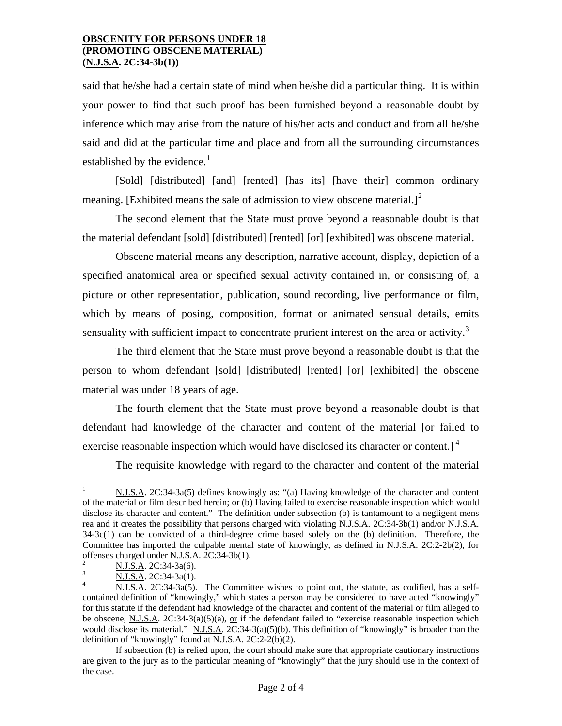#### **OBSCENITY FOR PERSONS UNDER 18 (PROMOTING OBSCENE MATERIAL) (N.J.S.A. 2C:34-3b(1))**

said that he/she had a certain state of mind when he/she did a particular thing. It is within your power to find that such proof has been furnished beyond a reasonable doubt by inference which may arise from the nature of his/her acts and conduct and from all he/she said and did at the particular time and place and from all the surrounding circumstances established by the evidence.<sup>[1](#page-0-0)</sup>

[Sold] [distributed] [and] [rented] [has its] [have their] common ordinary meaning. [Exhibited means the sale of admission to view obscene material.]<sup>[2](#page-1-0)</sup>

The second element that the State must prove beyond a reasonable doubt is that the material defendant [sold] [distributed] [rented] [or] [exhibited] was obscene material.

Obscene material means any description, narrative account, display, depiction of a specified anatomical area or specified sexual activity contained in, or consisting of, a picture or other representation, publication, sound recording, live performance or film, which by means of posing, composition, format or animated sensual details, emits sensuality with sufficient impact to concentrate prurient interest on the area or activity.<sup>[3](#page-1-1)</sup>

The third element that the State must prove beyond a reasonable doubt is that the person to whom defendant [sold] [distributed] [rented] [or] [exhibited] the obscene material was under 18 years of age.

The fourth element that the State must prove beyond a reasonable doubt is that defendant had knowledge of the character and content of the material [or failed to exercise reasonable inspection which would have disclosed its character or content.<sup> $\frac{4}{1}$  $\frac{4}{1}$  $\frac{4}{1}$ </sup>

The requisite knowledge with regard to the character and content of the material

 $\mathbf{1}$ <sup>1</sup> N.J.S.A. 2C:34-3a(5) defines knowingly as: "(a) Having knowledge of the character and content of the material or film described herein; or (b) Having failed to exercise reasonable inspection which would disclose its character and content." The definition under subsection (b) is tantamount to a negligent mens rea and it creates the possibility that persons charged with violating N.J.S.A. 2C:34-3b(1) and/or N.J.S.A. 34-3c(1) can be convicted of a third-degree crime based solely on the (b) definition. Therefore, the Committee has imported the culpable mental state of knowingly, as defined in N.J.S.A. 2C:2-2b(2), for offenses charged under <u>N.J.S.A</u>. 2C:34-3b(1).<br>
<sup>2</sup> <u>N.J.S.A</u>. 2C:34-3a(6).<br>
<sup>3</sup> N.J.S.A. 2C:34-3a(1).<br>
<sup>4</sup> N.J.S.A. 2C:34-3a(5). The Committee wishes to point out, the statute, as codified, has a self-

<span id="page-1-1"></span><span id="page-1-0"></span>

<span id="page-1-2"></span>contained definition of "knowingly," which states a person may be considered to have acted "knowingly" for this statute if the defendant had knowledge of the character and content of the material or film alleged to be obscene, N.J.S.A. 2C:34-3(a)(5)(a), or if the defendant failed to "exercise reasonable inspection which would disclose its material." N.J.S.A. 2C:34-3(a)(5)(b). This definition of "knowingly" is broader than the definition of "knowingly" found at  $N.J.S.A.$   $2C:2-2(b)(2)$ .

<span id="page-1-3"></span>If subsection (b) is relied upon, the court should make sure that appropriate cautionary instructions are given to the jury as to the particular meaning of "knowingly" that the jury should use in the context of the case.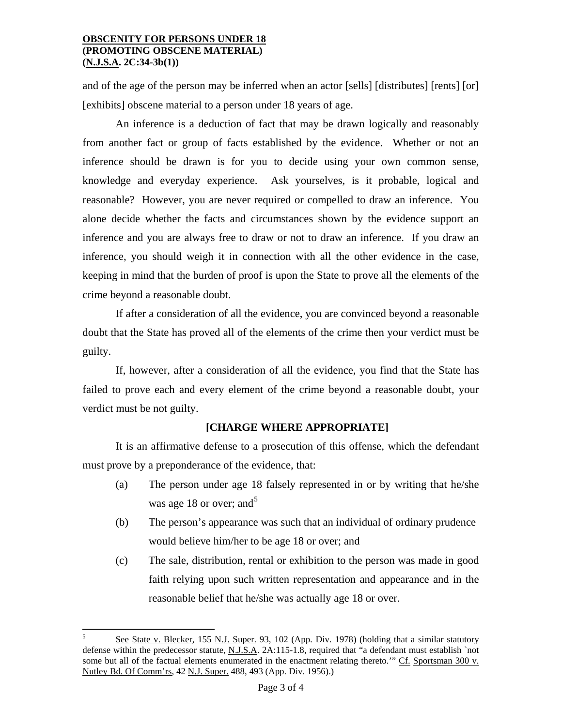### **OBSCENITY FOR PERSONS UNDER 18 (PROMOTING OBSCENE MATERIAL) (N.J.S.A. 2C:34-3b(1))**

and of the age of the person may be inferred when an actor [sells] [distributes] [rents] [or] [exhibits] obscene material to a person under 18 years of age.

An inference is a deduction of fact that may be drawn logically and reasonably from another fact or group of facts established by the evidence. Whether or not an inference should be drawn is for you to decide using your own common sense, knowledge and everyday experience. Ask yourselves, is it probable, logical and reasonable? However, you are never required or compelled to draw an inference. You alone decide whether the facts and circumstances shown by the evidence support an inference and you are always free to draw or not to draw an inference. If you draw an inference, you should weigh it in connection with all the other evidence in the case, keeping in mind that the burden of proof is upon the State to prove all the elements of the crime beyond a reasonable doubt.

If after a consideration of all the evidence, you are convinced beyond a reasonable doubt that the State has proved all of the elements of the crime then your verdict must be guilty.

 If, however, after a consideration of all the evidence, you find that the State has failed to prove each and every element of the crime beyond a reasonable doubt, your verdict must be not guilty.

## **[CHARGE WHERE APPROPRIATE]**

It is an affirmative defense to a prosecution of this offense, which the defendant must prove by a preponderance of the evidence, that:

- (a) The person under age 18 falsely represented in or by writing that he/she was age 18 or over; and  $5<sup>5</sup>$
- (b) The person's appearance was such that an individual of ordinary prudence would believe him/her to be age 18 or over; and
- (c) The sale, distribution, rental or exhibition to the person was made in good faith relying upon such written representation and appearance and in the reasonable belief that he/she was actually age 18 or over.

 $\overline{a}$ 

See State v. Blecker, 155 N.J. Super. 93, 102 (App. Div. 1978) (holding that a similar statutory defense within the predecessor statute, N.J.S.A. 2A:115-1.8, required that "a defendant must establish `not some but all of the factual elements enumerated in the enactment relating thereto." Cf. Sportsman 300 v. Nutley Bd. Of Comm'rs, 42 N.J. Super. 488, 493 (App. Div. 1956).)